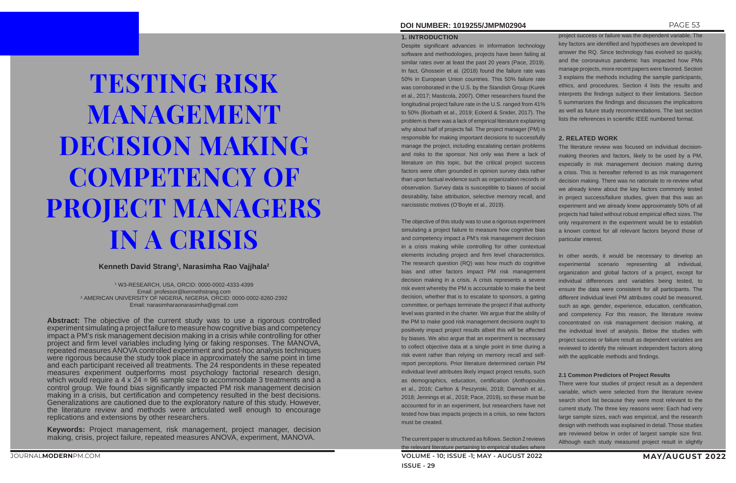# **DOI NUMBER: 1019255/JMPM02904** PAGE 53

#### **1. INTRODUCTION**

Despite significant advances in information technology software and methodologies, projects have been failing at similar rates over at least the past 20 years (Pace, 2019). In fact, Ghossein et al. (2018) found the failure rate was 50% in European Union countries. This 50% failure rate was corroborated in the U.S. by the Standish Group (Kurek et al., 2017; Masticola, 2007). Other researchers found the longitudinal project failure rate in the U.S. ranged from 41% to 50% (Borbath et al., 2019; Eckerd & Snider, 2017). The problem is there was a lack of empirical literature explaining why about half of projects fail. The project manager (PM) is responsible for making important decisions to successfully manage the project, including escalating certain problems and risks to the sponsor. Not only was there a lack of literature on this topic, but the critical project success factors were often grounded in opinion survey data rather than upon factual evidence such as organization records or observation. Survey data is susceptible to biases of social desirability, false attribution, selective memory recall, and narcissistic motives (O'Boyle et al., 2019).

**VOLUME - 10; ISSUE -1; MAY - AUGUST 2022 MAY/AUGUST 2022 ISSUE - 29** The current paper is structured as follows. Section 2 reviews the relevant literature pertaining to empirical studies where

The objective of this study was to use a rigorous experiment simulating a project failure to measure how cognitive bias and competency impact a PM's risk management decision in a crisis making while controlling for other contextual elements including project and firm level characteristics. The research question (RQ) was how much do cognitive bias and other factors impact PM risk management decision making in a crisis. A crisis represents a severe risk event whereby the PM is accountable to make the best decision, whether that is to escalate to sponsors, a gating committee, or perhaps terminate the project if that authority level was granted in the charter. We argue that the ability of the PM to make good risk management decisions ought to positively impact project results albeit this will be affected by biases. We also argue that an experiment is necessary to collect objective data at a single point in time during a risk event rather than relying on memory recall and selfreport perceptions. Prior literature determined certain PM individual level attributes likely impact project results, such as demographics, education, certification (Anthopoulos et al., 2016; Carlton & Peszynski, 2018; Damoah et al., 2018; Jennings et al., 2018; Pace, 2019), so these must be accounted for in an experiment, but researchers have not tested how bias impacts projects in a crisis, so new factors must be created.

project success or failure was the dependent variable. The key factors are identified and hypotheses are developed to answer the RQ. Since technology has evolved so quickly, and the coronavirus pandemic has impacted how PMs manage projects, more recent papers were favored. Section 3 explains the methods including the sample participants, ethics, and procedures. Section 4 lists the results and interprets the findings subject to their limitations. Section 5 summarizes the findings and discusses the implications as well as future study recommendations. The last section lists the references in scientific IEEE numbered format.

# **2. RELATED WORK**

The literature review was focused on individual decisionmaking theories and factors, likely to be used by a PM, especially in risk management decision making during a crisis. This is hereafter referred to as risk management decision making. There was no rationale to re-review what we already knew about the key factors commonly tested in project success/failure studies, given that this was an experiment and we already knew approximately 50% of all projects had failed without robust empirical effect sizes. The only requirement in the experiment would be to establish a known context for all relevant factors beyond those of particular interest.

In other words, it would be necessary to develop an experimental scenario representing all individual, organization and global factors of a project, except for individual differences and variables being tested, to ensure the data were consistent for all participants. The different individual level PM attributes could be measured, such as age, gender, experience, education, certification, and competency. For this reason, the literature review concentrated on risk management decision making, at the individual level of analysis. Below the studies with project success or failure result as dependent variables are reviewed to identify the relevant independent factors along with the applicable methods and findings.

# **2.1 Common Predictors of Project Results**

There were four studies of project result as a dependent variable, which were selected from the literature review search short list because they were most relevant to the current study. The three key reasons were: Each had very large sample sizes, each was empirical, and the research design with methods was explained in detail. Those studies are reviewed below in order of largest sample size first. Although each study measured project result in slightly

# TESTING RISK MANAGEMENT DECISION MAKING COMPETENCY OF PROJECT MANAGERS IN A CRISIS

**Kenneth David Strang1 , Narasimha Rao Vajjhala2**

1. W3-RESEARCH, USA, ORCID: 0000-0002-4333-4399 Email: professor@kennethstrang.com 2. AMERICAN UNIVERSITY OF NIGERIA, NIGERIA, ORCID: 0000-0002-8260-2392 Email: narasimharaonarasimha@gmail.com

**Abstract:** The objective of the current study was to use a rigorous controlled experiment simulating a project failure to measure how cognitive bias and competency impact a PM's risk management decision making in a crisis while controlling for other project and firm level variables including lying or faking responses. The MANOVA, repeated measures ANOVA controlled experiment and post-hoc analysis techniques were rigorous because the study took place in approximately the same point in time and each participant received all treatments. The 24 respondents in these repeated measures experiment outperforms most psychology factorial research design, which would require a  $4 \times 24 = 96$  sample size to accommodate 3 treatments and a control group. We found bias significantly impacted PM risk management decision making in a crisis, but certification and competency resulted in the best decisions. Generalizations are cautioned due to the exploratory nature of this study. However, the literature review and methods were articulated well enough to encourage replications and extensions by other researchers.

**Keywords:** Project management, risk management, project manager, decision making, crisis, project failure, repeated measures ANOVA, experiment, MANOVA.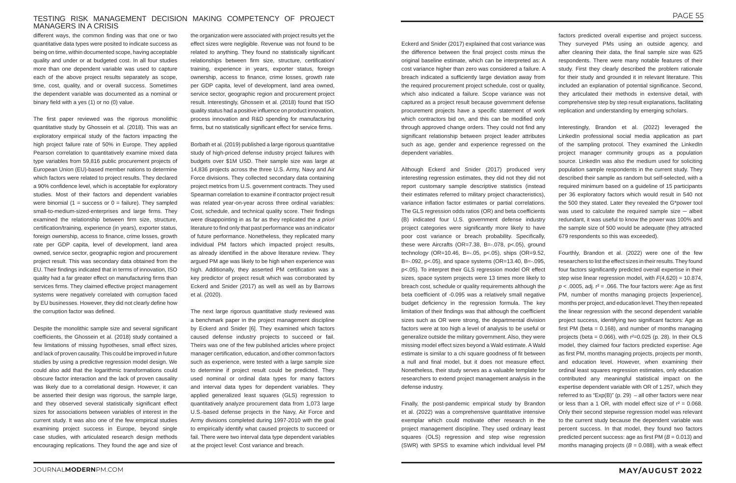## TESTING RISK MANAGEMENT DECISION MAKING COMPETENCY OF PROJECT MANAGERS IN A CRISIS

different ways, the common finding was that one or two quantitative data types were posited to indicate success as being on time, within documented scope, having acceptable quality and under or at budgeted cost. In all four studies more than one dependent variable was used to capture each of the above project results separately as scope, time, cost, quality, and or overall success. Sometimes the dependent variable was documented as a nominal or binary field with a yes (1) or no (0) value.

The first paper reviewed was the rigorous monolithic quantitative study by Ghossein et al. (2018). This was an exploratory empirical study of the factors impacting the high project failure rate of 50% in Europe. They applied Pearson correlation to quantitatively examine mixed data type variables from 59,816 public procurement projects of European Union (EU)-based member nations to determine which factors were related to project results. They declared a 90% confidence level, which is acceptable for exploratory studies. Most of their factors and dependent variables were binomial (1 = success or  $0 = \text{failure}$ ). They sampled small-to-medium-sized-enterprises and large firms. They examined the relationship between firm size, structure, certification/training, experience (in years), exporter status, foreign ownership, access to finance, crime losses, growth rate per GDP capita, level of development, land area owned, service sector, geographic region and procurement project result. This was secondary data obtained from the EU. Their findings indicated that in terms of innovation, ISO quality had a far greater effect on manufacturing firms than services firms. They claimed effective project management systems were negatively correlated with corruption faced by EU businesses. However, they did not clearly define how the corruption factor was defined.

Despite the monolithic sample size and several significant coefficients, the Ghossein et al. (2018) study contained a few limitations of missing hypotheses, small effect sizes, and lack of proven causality. This could be improved in future studies by using a predictive regression model design. We could also add that the logarithmic transformations could obscure factor interaction and the lack of proven causality was likely due to a correlational design. However, it can be asserted their design was rigorous, the sample large, and they observed several statistically significant effect sizes for associations between variables of interest in the current study. It was also one of the few empirical studies examining project success in Europe, beyond single case studies, with articulated research design methods encouraging replications. They found the age and size of

the organization were associated with project results yet the effect sizes were negligible. Revenue was not found to be related to anything. They found no statistically significant relationships between firm size, structure, certification/ training, experience in years, exporter status, foreign ownership, access to finance, crime losses, growth rate per GDP capita, level of development, land area owned, service sector, geographic region and procurement project result. Interestingly, Ghossein et al. (2018) found that ISO quality status had a positive influence on product innovation, process innovation and R&D spending for manufacturing firms, but no statistically significant effect for service firms.

Borbath et al. (2019) published a large rigorous quantitative study of high-priced defense industry project failures with budgets over \$1M USD. Their sample size was large at 14,836 projects across the three U.S. Army, Navy and Air Force divisions. They collected secondary data containing project metrics from U.S. government contracts. They used Spearman correlation to examine if contractor project result was related year-on-year across three ordinal variables: Cost, schedule, and technical quality score. Their findings were disappointing in as far as they replicated the *a priori* literature to find only that past performance was an indicator of future performance. Nonetheless, they replicated many individual PM factors which impacted project results, as already identified in the above literature review. They argued PM age was likely to be high when experience was high. Additionally, they asserted PM certification was a key predictor of project result which was corroborated by Eckerd and Snider (2017) as well as well as by Barrows et al. (2020).

Fourthly, Brandon et al. (2022) were one of the few researchers to list the effect sizes in their results. They found four factors significantly predicted overall expertise in their step wise linear regression model, with *F*(4,620) = 10.874,  $p$  < .0005, adj.  $r^2$  = .066. The four factors were: Age as first PM, number of months managing projects [experience], months per project, and education level. They then repeated the linear regression with the second dependent variable project success, identifying two significant factors: Age as first PM (beta  $= 0.168$ ), and number of months managing projects (beta =  $0.066$ ), with  $r^2$ = $0.025$  (p. 28). In their OLS model, they claimed four factors predicted expertise: Age as first PM, months managing projects, projects per month, and education level. However, when examining their ordinal least squares regression estimates, only education contributed any meaningful statistical impact on the expertise dependent variable with OR of 1.257, which they referred to as " $Exp(B)$ " (p. 29) – all other factors were near or less than a 1 OR, with model effect size of  $r^2 = 0.068$ . Only their second stepwise regression model was relevant to the current study because the dependent variable was percent success. In that model, they found two factors predicted percent success: age as first PM (*B* = 0.013) and months managing projects ( $B = 0.088$ ), with a weak effect

The next large rigorous quantitative study reviewed was a benchmark paper in the project management discipline by Eckerd and Snider [6]. They examined which factors caused defense industry projects to succeed or fail. Theirs was one of the few published articles where project manager certification, education, and other common factors such as experience, were tested with a large sample size to determine if project result could be predicted. They used nominal or ordinal data types for many factors and interval data types for dependent variables. They applied generalized least squares (GLS) regression to quantitatively analyze procurement data from 1,073 large U.S.-based defense projects in the Navy, Air Force and Army divisions completed during 1997-2010 with the goal to empirically identify what caused projects to succeed or fail. There were two interval data type dependent variables at the project level: Cost variance and breach.

Eckerd and Snider (2017) explained that cost variance was the difference between the final project costs minus the original baseline estimate, which can be interpreted as: A cost variance higher than zero was considered a failure. A breach indicated a sufficiently large deviation away from the required procurement project schedule, cost or quality, which also indicated a failure. Scope variance was not captured as a project result because government defense procurement projects have a specific statement of work which contractors bid on, and this can be modified only through approved change orders. They could not find any significant relationship between project leader attributes such as age, gender and experience regressed on the dependent variables.

Although Eckerd and Snider (2017) produced very interesting regression estimates, they did not they did not report customary sample descriptive statistics (instead their estimates referred to military project characteristics), variance inflation factor estimates or partial correlations. The GLS regression odds ratios (OR) and beta coefficients (B) indicated four U.S. government defense industry project categories were significantly more likely to have poor cost variance or breach probability. Specifically, these were Aircrafts (OR=7.38, B=-.078, p<.05), ground technology (OR=10.46, B=-.05, p<.05), ships (OR=9.52, B=-.092, p<.05), and space systems (OR=13.40, B=-.095, p<.05). To interpret their GLS regression model OR effect sizes, space system projects were 13 times more likely to breach cost, schedule or quality requirements although the beta coefficient of -0.095 was a relatively small negative budget deficiency in the regression formula. The key limitation of their findings was that although the coefficient sizes such as OR were strong, the departmental division factors were at too high a level of analysis to be useful or generalize outside the military government. Also, they were missing model effect sizes beyond a Wald estimate. A Wald estimate is similar to a chi square goodness of fit between a null and final model, but it does not measure effect. Nonetheless, their study serves as a valuable template for researchers to extend project management analysis in the defense industry.

Finally, the post-pandemic empirical study by Brandon et al. (2022) was a comprehensive quantitative intensive exemplar which could motivate other research in the project management discipline. They used ordinary least squares (OLS) regression and step wise regression (SWR) with SPSS to examine which individual level PM

factors predicted overall expertise and project success. They surveyed PMs using an outside agency, and after cleaning their data, the final sample size was 625 respondents. There were many notable features of their study. First they clearly described the problem rationale for their study and grounded it in relevant literature. This included an explanation of potential significance. Second, they articulated their methods in extensive detail, with comprehensive step by step result explanations, facilitating replication and understanding by emerging scholars.

Interestingly, Brandon et al. (2022) leveraged the LinkedIn professional social media application as part of the sampling protocol. They examined the LinkedIn project manager community groups as a population source. LinkedIn was also the medium used for soliciting population sample respondents in the current study. They described their sample as random but self-selected, with a required minimum based on a guideline of 15 participants per 36 exploratory factors which would result in 540 not the 500 they stated. Later they revealed the G\*power tool was used to calculate the required sample size  $-$  albeit redundant, it was useful to know the power was 100% and the sample size of 500 would be adequate (they attracted 679 respondents so this was exceeded).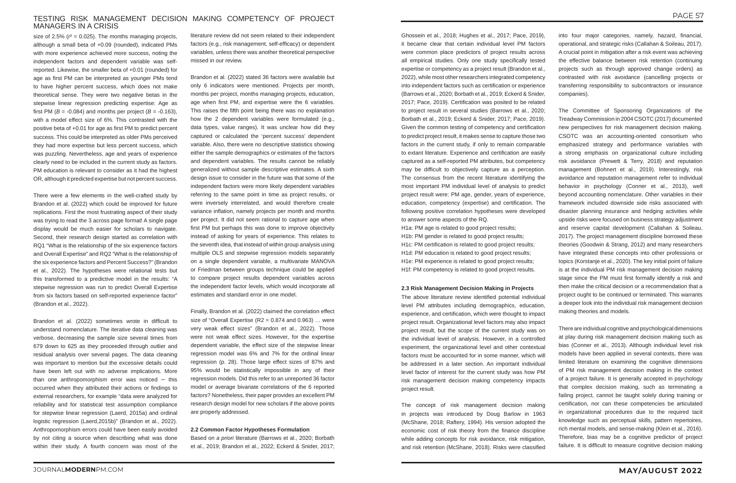## TESTING RISK MANAGEMENT DECISION MAKING COMPETENCY OF PROJECT MANAGERS IN A CRISIS

size of 2.5% ( $r^2$  = 0.025). The months managing projects, although a small beta of +0.09 (rounded), indicated PMs with more experience achieved more success, noting the independent factors and dependent variable was selfreported. Likewise, the smaller beta of +0.01 (rounded) for age as first PM can be interpreted as younger PMs tend to have higher percent success, which does not make theoretical sense. They were two negative betas in the stepwise linear regression predicting expertise: Age as first PM ( $B = -0.084$ ) and months per project ( $B = -0.163$ ), with a model effect size of 6%. This contrasted with the positive beta of +0.01 for age as first PM to predict percent success. This could be interpreted as older PMs perceived they had more expertise but less percent success, which was puzzling. Nevertheless, age and years of experience clearly need to be included in the current study as factors. PM education is relevant to consider as it had the highest OR, although it predicted expertise but not percent success.

There were a few elements in the well-crafted study by Brandon et al. (2022) which could be improved for future replications. First the most frustrating aspect of their study was trying to read the 3 across page format! A single page display would be much easier for scholars to navigate. Second, their research design started as correlation with RQ1 "What is the relationship of the six experience factors and Overall Expertise" and RQ2 "What is the relationship of the six experience factors and Percent Success?" (Brandon et al., 2022). The hypotheses were relational tests but this transformed to a predictive model in the results: "A stepwise regression was run to predict Overall Expertise from six factors based on self-reported experience factor" (Brandon et al., 2022).

Brandon et al. (2022) sometimes wrote in difficult to understand nomenclature. The iterative data cleaning was verbose, decreasing the sample size several times from 679 down to 625 as they proceeded through outlier and residual analysis over several pages. The data cleaning was important to mention but the excessive details could have been left out with no adverse implications. More than one anthropomorphism error was noticed  $-$  this occurred when they attributed their actions or findings to external researchers, for example "data were analyzed for reliability and for statistical test assumption compliance for stepwise linear regression (Laerd, 2015a) and ordinal logistic regression (Laerd,2015b)" (Brandon et al., 2022). Anthropomorphism errors could have been easily avoided by not citing a source when describing what was done within their study. A fourth concern was most of the

literature review did not seem related to their independent factors (e.g., risk management, self-efficacy) or dependent variables, unless there was another theoretical perspective missed in our review.

Brandon et al. (2022) stated 36 factors were available but only 6 indicators were mentioned. Projects per month, months per project, months managing projects, education, age when first PM, and expertise were the 6 variables. This raises the fifth point being there was no explanation how the 2 dependent variables were formulated (e.g., data types, value ranges). It was unclear how did they captured or calculated the 'percent success' dependent variable. Also, there were no descriptive statistics showing either the sample demographics or estimates of the factors and dependent variables. The results cannot be reliably generalized without sample descriptive estimates. A sixth design issue to consider in the future was that some of the independent factors were more likely dependent variables referring to the same point in time as project results, or were inversely interrelated, and would therefore create variance inflation, namely projects per month and months per project. It did not seem rational to capture age when first PM but perhaps this was done to improve objectivity instead of asking for years of experience. This relates to the seventh idea, that instead of within group analysis using multiple OLS and stepwise regression models separately on a single dependent variable, a multivariate MANOVA or Friedman between groups technique could be applied to compare project results dependent variables across the independent factor levels, which would incorporate all estimates and standard error in one model.

Finally, Brandon et al. (2022) claimed the correlation effect size of "Overall Expertise ( $R2 = 0.874$  and  $0.963$ ) ... were very weak effect sizes" (Brandon et al., 2022). Those were not weak effect sizes. However, for the expertise dependent variable, the effect size of the stepwise linear regression model was 6% and 7% for the ordinal linear regression (p. 28). Those large effect sizes of 87% and 95% would be statistically impossible in any of their regression models. Did this refer to an unreported 36 factor model or average bivariate correlations of the 6 reported factors? Nonetheless, their paper provides an excellent PM research design model for new scholars if the above points are properly addressed.

#### **2.2 Common Factor Hypotheses Formulation**

Based on *a priori* literature (Barrows et al., 2020; Borbath et al., 2019; Brandon et al., 2022; Eckerd & Snider, 2017;

Ghossein et al., 2018; Hughes et al., 2017; Pace, 2019), it became clear that certain individual level PM factors were common place predictors of project results across all empirical studies. Only one study specifically tested expertise or competency as a project result (Brandon et al., 2022), while most other researchers integrated competency into independent factors such as certification or experience (Barrows et al., 2020; Borbath et al., 2019; Eckerd & Snider, 2017; Pace, 2019). Certification was posited to be related to project result in several studies (Barrows et al., 2020; Borbath et al., 2019; Eckerd & Snider, 2017; Pace, 2019). Given the common testing of competency and certification to predict project result, it makes sense to capture those two factors in the current study, if only to remain comparable to extant literature. Experience and certification are easily captured as a self-reported PM attributes, but competency may be difficult to objectively capture as a perception. The consensus from the recent literature identifying the most important PM individual level of analysis to predict project result were: PM age, gender, years of experience, education, competency (expertise) and certification. The following positive correlation hypotheses were developed to answer some aspects of the RQ.

H1a: PM age is related to good project results; H1b: PM gender is related to good project results; H1c: PM certification is related to good project results; H1d: PM education is related to good project results; H1e: PM experience is related to good project results; H1f: PM competency is related to good project results.

#### **2.3 Risk Management Decision Making in Projects**

The above literature review identified potential individual level PM attributes including demographics, education, experience, and certification, which were thought to impact project result. Organizational level factors may also impact project result, but the scope of the current study was on the individual level of analysis. However, in a controlled experiment, the organizational level and other contextual factors must be accounted for in some manner, which will be addressed in a later section. An important individual level factor of interest for the current study was how PM risk management decision making competency impacts project result.

The concept of risk management decision making in projects was introduced by Doug Barlow in 1963 (McShane, 2018; Raftery, 1994). His version adopted the economic cost of risk theory from the finance discipline while adding concepts for risk avoidance, risk mitigation, and risk retention (McShane, 2018). Risks were classified

into four major categories, namely, hazard, financial, operational, and strategic risks (Callahan & Soileau, 2017). A crucial point in mitigation after a risk event was achieving the effective balance between risk retention (continuing projects such as through approved change orders) as contrasted with risk avoidance (cancelling projects or transferring responsibility to subcontractors or insurance companies).

The Committee of Sponsoring Organizations of the Treadway Commission in 2004 CSOTC (2017) documented new perspectives for risk management decision making. CSOTC was an accounting-oriented consortium who emphasized strategy and performance variables with a strong emphasis on organizational culture including risk avoidance (Prewett & Terry, 2018) and reputation management (Bohnert et al., 2019). Interestingly, risk avoidance and reputation management refer to individual behavior in psychology (Conner et al., 2013), well beyond accounting nomenclature. Other variables in their framework included downside side risks associated with disaster planning insurance and hedging activities while upside risks were focused on business strategy adjustment and reserve capital development (Callahan & Soileau, 2017). The project management discipline borrowed these theories (Goodwin & Strang, 2012) and many researchers have integrated these concepts into other professions or topics (Korstanje et al., 2020). The key initial point of failure is at the individual PM risk management decision making stage since the PM must first formally identify a risk and then make the critical decision or a recommendation that a project ought to be continued or terminated. This warrants a deeper look into the individual risk management decision making theories and models.

There are individual cognitive and psychological dimensions at play during risk management decision making such as bias (Conner et al., 2013). Although individual level risk models have been applied in several contexts, there was limited literature on examining the cognitive dimensions of PM risk management decision making in the context of a project failure. It is generally accepted in psychology that complex decision making, such as terminating a failing project, cannot be taught solely during training or certification, nor can these competencies be articulated in organizational procedures due to the required tacit knowledge such as perceptual skills, pattern repertoires, rich mental models, and sense-making (Klein et al., 2016). Therefore, bias may be a cognitive predictor of project failure. It is difficult to measure cognitive decision making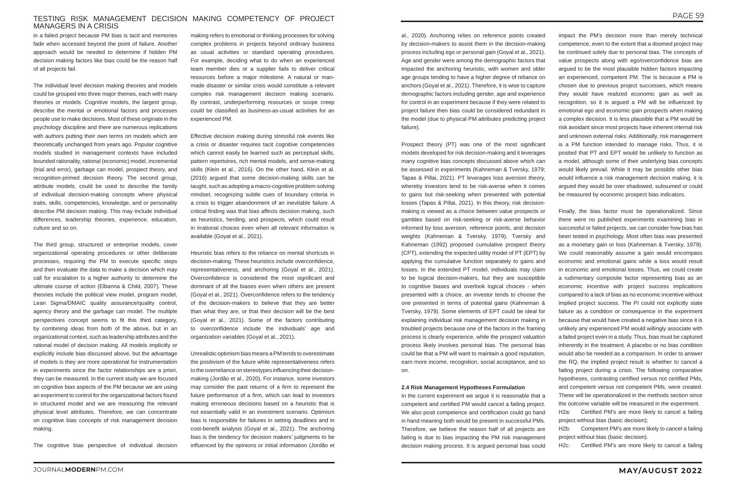## TESTING RISK MANAGEMENT DECISION MAKING COMPETENCY OF PROJECT MANAGERS IN A CRISIS

in a failed project because PM bias is tacit and memories fade when accessed beyond the point of failure. Another approach would be needed to determine if hidden PM decision making factors like bias could be the reason half of all projects fail.

The individual level decision making theories and models could be grouped into three major themes, each with many theories or models. Cognitive models, the largest group, describe the mental or emotional factors and processes people use to make decisions. Most of these originate in the psychology discipline and there are numerous replications with authors putting their own terms on models which are theoretically unchanged from years ago. Popular cognitive models studied in management contexts have included bounded rationality, rational (economic) model, incremental (trial and error), garbage can model, prospect theory, and recognition-primed decision theory. The second group, attribute models, could be used to describe the family of individual decision-making concepts where physical traits, skills, competencies, knowledge, and or personality describe PM decision making. This may include individual differences, leadership theories, experience, education, culture and so on.

The third group, structured or enterprise models, cover organizational operating procedures or other deliberate processes, requiring the PM to execute specific steps and then evaluate the data to make a decision which may call for escalation to a higher authority to determine the ultimate course of action (Elbanna & Child, 2007). These theories include the political view model, program model, Lean Sigma/DMAIC quality assurance/quality control, agency theory and the garbage can model. The multiple perspectives concept seems to fit this third category, by combining ideas from both of the above, but in an organizational context, such as leadership attributes and the rational model of decision making. All models implicitly or explicitly include bias discussed above, but the advantage of models is they are more operational for instrumentation in experiments since the factor relationships are a priori, they can be measured. In the current study we are focused on cognitive bias aspects of the PM because we are using an experiment to control for the organizational factors found in structured model and we are measuring the relevant physical level attributes. Therefore, we can concentrate on cognitive bias concepts of risk management decision making.

The cognitive bias perspective of individual decision

making refers to emotional or thinking processes for solving complex problems in projects beyond ordinary business as usual activities or standard operating procedures. For example, deciding what to do when an experienced team member dies or a supplier fails to deliver critical resources before a major milestone. A natural or manmade disaster or similar crisis would constitute a relevant complex risk management decision making scenario. By contrast, underperforming resources or scope creep could be classified as business-as-usual activities for an experienced PM.

Effective decision making during stressful risk events like a crisis or disaster requires tacit cognitive competencies which cannot easily be learned such as perceptual skills, pattern repertoires, rich mental models, and sense-making skills (Klein et al., 2016). On the other hand, Klein et al. (2016) argued that some decision-making skills can be taught, such as adopting a macro-cognitive problem-solving mindset, recognizing subtle cues of boundary criteria in a crisis to trigger abandonment of an inevitable failure. A critical finding was that bias affects decision making, such as heuristics, herding, and prospects, which could result in irrational choices even when all relevant information is available (Goyal et al., 2021).

Heuristic bias refers to the reliance on mental shortcuts in decision-making. These heuristics include overconfidence, representativeness, and anchoring (Goyal et al., 2021). Overconfidence is considered the most significant and dominant of all the biases even when others are present (Goyal et al., 2021). Overconfidence refers to the tendency of the decision-makers to believe that they are better than what they are, or that their decision will be the best (Goyal et al., 2021). Some of the factors contributing to overconfidence include the individuals' age and organization variables (Goyal et al., 2021).

Unrealistic optimism bias means a PM tends to overestimate the positivism of the future while representativeness refers to the overreliance on stereotypes influencing their decisionmaking (Jordão et al., 2020). For instance, some investors may consider the past returns of a firm to represent the future performance of a firm, which can lead to investors making erroneous decisions based on a heuristic that is not essentially valid in an investment scenario. Optimism bias is responsible for failures in setting deadlines and in cost-benefit analysis (Goyal et al., 2021). The anchoring bias is the tendency for decision makers' judgments to be influenced by the opinions or initial information (Jordão et

al., 2020). Anchoring relies on reference points created by decision-makers to assist them in the decision-making process including ego or personal gain (Goyal et al., 2021). Age and gender were among the demographic factors that impacted the anchoring heuristic, with women and older age groups tending to have a higher degree of reliance on anchors (Goyal et al., 2021). Therefore, it is wise to capture demographic factors including gender, age and experience for control in an experiment because if they were related to project failure then bias could be considered redundant in the model (due to physical PM attributes predicting project failure).

Prospect theory (PT) was one of the most significant models developed for risk decision-making and it leverages many cognitive bias concepts discussed above which can be assessed in experiments (Kahneman & Tversky, 1979; Tapas & Pillai, 2021). PT leverages loss aversion theory, whereby investors tend to be risk-averse when it comes to gains but risk-seeking when presented with potential losses (Tapas & Pillai, 2021). In this theory, risk decisionmaking is viewed as a choice between value prospects or gambles based on risk-seeking or risk-averse behavior informed by loss aversion, reference points, and decision weights (Kahneman & Tversky, 1979). Tversky and Kahneman (1992) proposed cumulative prospect theory (CPT), extending the expected utility model of PT (EPT) by applying the cumulative function separately to gains and losses. In the extended PT model, individuals may claim to be logical decision-makers, but they are susceptible to cognitive biases and overlook logical choices - when presented with a choice, an investor tends to choose the one presented in terms of potential gains (Kahneman & Tversky, 1979). Some elements of EPT could be ideal for explaining individual risk management decision making in troubled projects because one of the factors in the framing process is clearly experience, while the prospect valuation process likely involves personal bias. The personal bias could be that a PM will want to maintain a good reputation, earn more income, recognition, social acceptance, and so on.

#### **2.4 Risk Management Hypotheses Formulation**

In the current experiment we argue it is reasonable that a competent and certified PM would cancel a failing project. We also posit competence and certification could go hand in hand meaning both would be present in successful PMs. Therefore, we believe the reason half of all projects are failing is due to bias impacting the PM risk management decision making process. It is argued personal bias could

impact the PM's decision more than merely technical competence, even to the extent that a doomed project may be continued solely due to personal bias. The concepts of value prospects along with ego/overconfidence bias are argued to be the most plausible hidden factors impacting an experienced, competent PM. The is because a PM is chosen due to previous project successes, which means they would have realized economic gain as well as recognition, so it is argued a PM will be influenced by emotional ego and economic gain prospects when making a complex decision. It is less plausible that a PM would be risk avoidant since most projects have inherent internal risk and unknown external risks. Additionally, risk management is a PM function intended to manage risks. Thus, it is posited that PT and EPT would be unlikely to function as a model, although some of their underlying bias concepts would likely prevail. While it may be possible other bias would influence a risk management decision making, it is argued they would be over shadowed, subsumed or could be measured by economic prospect bias indicators.

Finally, the bias factor must be operationalized. Since there were no published experiments examining bias in successful or failed projects, we can consider how bias has been tested in psychology. Most often bias was presented as a monetary gain or loss (Kahneman & Tversky, 1979). We could reasonably assume a gain would encompass economic and emotional gains while a loss would result in economic and emotional losses. Thus, we could create a rudimentary composite factor representing bias as an economic incentive with project success implications compared to a lack of bias as no economic incentive without implied project success. The PI could not explicitly state failure as a condition or consequence in the experiment because that would have created a negative bias since it is unlikely any experienced PM would willingly associate with a failed project even in a study. Thus, bias must be captured inherently in the treatment. A placebo or no bias condition would also be needed as a comparison. In order to answer the RQ, the implied project result is whether to cancel a failing project during a crisis. The following comparative hypotheses, contrasting certified versus not certified PMs, and competent versus not competent PMs, were created. These will be operationalized in the methods section since the outcome variable will be measured in the experiment.

H2a: Certified PM's are more likely to cancel a failing project without bias (basic decision);

H2b: Competent PM's are more likely to cancel a failing project without bias (basic decision).

H2c: Certified PM's are more likely to cancel a failing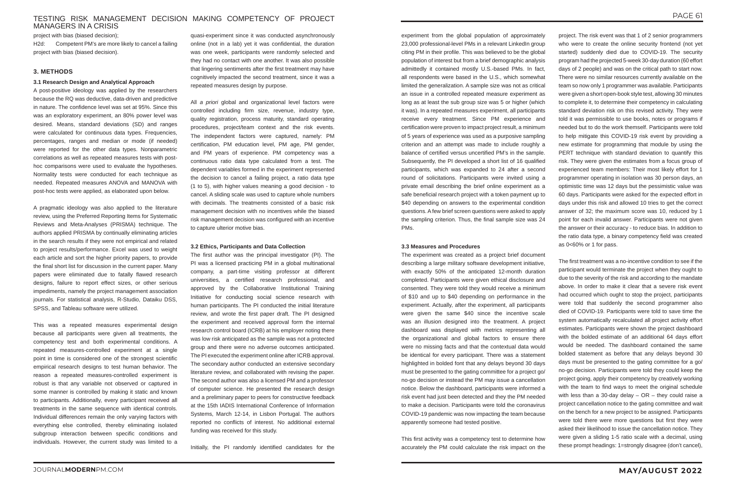# TESTING RISK MANAGEMENT DECISION MAKING COMPETENCY OF PROJECT MANAGERS IN A CRISIS

project with bias (biased decision); H2d: Competent PM's are more likely to cancel a failing project with bias (biased decision).

### **3. METHODS**

#### **3.1 Research Design and Analytical Approach**

A post-positive ideology was applied by the researchers because the RQ was deductive, data-driven and predictive in nature. The confidence level was set at 95%. Since this was an exploratory experiment, an 80% power level was desired. Means, standard deviations (SD) and ranges were calculated for continuous data types. Frequencies, percentages, ranges and median or mode (if needed) were reported for the other data types. Nonparametric correlations as well as repeated measures tests with posthoc comparisons were used to evaluate the hypotheses. Normality tests were conducted for each technique as needed. Repeated measures ANOVA and MANOVA with post-hoc tests were applied, as elaborated upon below.

A pragmatic ideology was also applied to the literature review, using the Preferred Reporting Items for Systematic Reviews and Meta-Analyses (PRISMA) technique. The authors applied PRISMA by continually eliminating articles in the search results if they were not empirical and related to project results/performance. Excel was used to weight each article and sort the higher priority papers, to provide the final short list for discussion in the current paper. Many papers were eliminated due to fatally flawed research designs, failure to report effect sizes, or other serious impediments, namely the project management association journals. For statistical analysis, R-Studio, Dataiku DSS, SPSS, and Tableau software were utilized.

This was a repeated measures experimental design because all participants were given all treatments, the competency test and both experimental conditions. A repeated measures-controlled experiment at a single point in time is considered one of the strongest scientific empirical research designs to test human behavior. The reason a repeated measures-controlled experiment is robust is that any variable not observed or captured in some manner is controlled by making it static and known to participants. Additionally, every participant received all treatments in the same sequence with identical controls. Individual differences remain the only varying factors with everything else controlled, thereby eliminating isolated subgroup interaction between specific conditions and individuals. However, the current study was limited to a

quasi-experiment since it was conducted asynchronously online (not in a lab) yet it was confidential, the duration was one week, participants were randomly selected and they had no contact with one another. It was also possible that lingering sentiments after the first treatment may have cognitively impacted the second treatment, since it was a repeated measures design by purpose.

All *a priori* global and organizational level factors were controlled including firm size, revenue, industry type, quality registration, process maturity, standard operating procedures, project/team context and the risk events. The independent factors were captured, namely: PM certification, PM education level, PM age, PM gender, and PM years of experience. PM competency was a continuous ratio data type calculated from a test. The dependent variables formed in the experiment represented the decision to cancel a failing project, a ratio data type (1 to 5), with higher values meaning a good decision - to cancel. A sliding scale was used to capture whole numbers with decimals. The treatments consisted of a basic risk management decision with no incentives while the biased risk management decision was configured with an incentive to capture ulterior motive bias.

#### **3.2 Ethics, Participants and Data Collection**

The first author was the principal investigator (PI). The PI was a licensed practicing PM in a global multinational company, a part-time visiting professor at different universities, a certified research professional, and approved by the Collaborative Institutional Training Initiative for conducting social science research with human participants. The PI conducted the initial literature review, and wrote the first paper draft. The PI designed the experiment and received approval form the internal research control board (ICRB) at his employer noting there was low risk anticipated as the sample was not a protected group and there were no adverse outcomes anticipated. The PI executed the experiment online after ICRB approval. The secondary author conducted an extensive secondary literature review, and collaborated with revising the paper. The second author was also a licensed PM and a professor of computer science. He presented the research design and a preliminary paper to peers for constructive feedback at the 15th IADIS International Conference of Information Systems, March 12-14, in Lisbon Portugal. The authors reported no conflicts of interest. No additional external funding was received for this study.

Initially, the PI randomly identified candidates for the

experiment from the global population of approximately 23,000 professional-level PMs in a relevant LinkedIn group citing PM in their profile. This was believed to be the global population of interest but from a brief demographic analysis admittedly it contained mostly U.S.-based PMs. In fact, all respondents were based in the U.S., which somewhat limited the generalization. A sample size was not as critical an issue in a controlled repeated measure experiment as long as at least the sub group size was 5 or higher (which it was). In a repeated measures experiment, all participants receive every treatment. Since PM experience and certification were proven to impact project result, a minimum of 5 years of experience was used as a purposive sampling criterion and an attempt was made to include roughly a balance of certified versus uncertified PM's in the sample. Subsequently, the PI developed a short list of 16 qualified participants, which was expanded to 24 after a second round of solicitations. Participants were invited using a private email describing the brief online experiment as a safe beneficial research project with a token payment up to \$40 depending on answers to the experimental condition questions. A few brief screen questions were asked to apply the sampling criterion. Thus, the final sample size was 24 PMs.

#### **3.3 Measures and Procedures**

The experiment was created as a project brief document describing a large military software development initiative, with exactly 50% of the anticipated 12-month duration completed. Participants were given ethical disclosure and consented. They were told they would receive a minimum of \$10 and up to \$40 depending on performance in the experiment. Actually, after the experiment, all participants were given the same \$40 since the incentive scale was an illusion designed into the treatment. A project dashboard was displayed with metrics representing all the organizational and global factors to ensure there were no missing facts and that the contextual data would be identical for every participant. There was a statement highlighted in bolded font that any delays beyond 30 days must be presented to the gating committee for a project go/ no-go decision or instead the PM may issue a cancellation notice. Below the dashboard, participants were informed a risk event had just been detected and they the PM needed to make a decision. Participants were told the coronavirus COVID-19 pandemic was now impacting the team because apparently someone had tested positive.

This first activity was a competency test to determine how accurately the PM could calculate the risk impact on the

project. The risk event was that 1 of 2 senior programmers who were to create the online security frontend (not yet started) suddenly died due to COVID-19. The security program had the projected 5-week 30-day duration (60 effort days of 2 people) and was on the critical path to start now. There were no similar resources currently available on the team so now only 1 programmer was available. Participants were given a short open-book style test, allowing 30 minutes to complete it, to determine their competency in calculating standard deviation risk on this revised activity. They were told it was permissible to use books, notes or programs if needed but to do the work themself. Participants were told to help mitigate this COVID-19 risk event by providing a new estimate for programming that module by using the PERT technique with standard deviation to quantify this risk. They were given the estimates from a focus group of experienced team members: Their most likely effort for 1 programmer operating in isolation was 30 person days, an optimistic time was 12 days but the pessimistic value was 60 days. Participants were asked for the expected effort in days under this risk and allowed 10 tries to get the correct answer of 32; the maximum score was 10, reduced by 1 point for each invalid answer. Participants were not given the answer or their accuracy - to reduce bias. In addition to the ratio data type, a binary competency field was created as 0<60% or 1 for pass.

The first treatment was a no-incentive condition to see if the participant would terminate the project when they ought to due to the severity of the risk and according to the mandate above. In order to make it clear that a severe risk event had occurred which ought to stop the project, participants were told that suddenly the second programmer also died of COVID-19. Participants were told to save time the system automatically recalculated all project activity effort estimates. Participants were shown the project dashboard with the bolded estimate of an additional 64 days effort would be needed. The dashboard contained the same bolded statement as before that any delays beyond 30 days must be presented to the gating committee for a go/ no-go decision. Participants were told they could keep the project going, apply their competency by creatively working with the team to find ways to meet the original schedule with less than a 30-day delay – OR – they could raise a project cancellation notice to the gating committee and wait on the bench for a new project to be assigned. Participants were told there were more questions but first they were asked their likelihood to issue the cancellation notice. They were given a sliding 1-5 ratio scale with a decimal, using these prompt headings: 1=strongly disagree (don't cancel),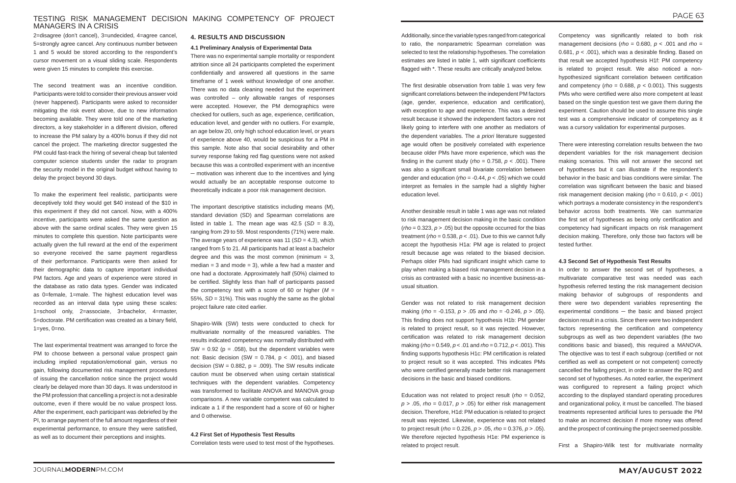## TESTING RISK MANAGEMENT DECISION MAKING COMPETENCY OF PROJECT MANAGERS IN A CRISIS

2=disagree (don't cancel), 3=undecided, 4=agree cancel, 5=strongly agree cancel. Any continuous number between 1 and 5 would be stored according to the respondent's cursor movement on a visual sliding scale. Respondents were given 15 minutes to complete this exercise.

The second treatment was an incentive condition. Participants were told to consider their previous answer void (never happened). Participants were asked to reconsider mitigating the risk event above, due to new information becoming available. They were told one of the marketing directors, a key stakeholder in a different division, offered to increase the PM salary by a 400% bonus if they did not cancel the project. The marketing director suggested the PM could fast-track the hiring of several cheap but talented computer science students under the radar to program the security model in the original budget without having to delay the project beyond 30 days.

To make the experiment feel realistic, participants were deceptively told they would get \$40 instead of the \$10 in this experiment if they did not cancel. Now, with a 400% incentive, participants were asked the same question as above with the same ordinal scales. They were given 15 minutes to complete this question. Note participants were actually given the full reward at the end of the experiment so everyone received the same payment regardless of their performance. Participants were then asked for their demographic data to capture important individual PM factors. Age and years of experience were stored in the database as ratio data types. Gender was indicated as 0=female, 1=male. The highest education level was recorded as an interval data type using these scales: 1=school only, 2=associate, 3=bachelor, 4=master, 5=doctorate. PM certification was created as a binary field, 1=yes, 0=no.

The last experimental treatment was arranged to force the PM to choose between a personal value prospect gain including implied reputation/emotional gain, versus no gain, following documented risk management procedures of issuing the cancellation notice since the project would clearly be delayed more than 30 days. It was understood in the PM profession that cancelling a project is not a desirable outcome, even if there would be no value prospect loss. After the experiment, each participant was debriefed by the PI, to arrange payment of the full amount regardless of their experimental performance, to ensure they were satisfied, as well as to document their perceptions and insights.

#### **4. RESULTS AND DISCUSSION**

#### **4.1 Preliminary Analysis of Experimental Data**

There was no experimental sample mortality or respondent attrition since all 24 participants completed the experiment confidentially and answered all questions in the same timeframe of 1 week without knowledge of one another. There was no data cleaning needed but the experiment was controlled – only allowable ranges of responses were accepted. However, the PM demographics were checked for outliers, such as age, experience, certification, education level, and gender with no outliers. For example, an age below 20, only high school education level, or years of experience above 40, would be suspicious for a PM in this sample. Note also that social desirability and other survey response faking red flag questions were not asked because this was a controlled experiment with an incentive ─ motivation was inherent due to the incentives and lying would actually be an acceptable response outcome to theoretically indicate a poor risk management decision.

The important descriptive statistics including means (M), standard deviation (SD) and Spearman correlations are listed in table 1. The mean age was  $42.5$  (*SD* = 8.3), ranging from 29 to 59. Most respondents (71%) were male. The average years of experience was 11 (*SD* = 4.3), which ranged from 5 to 21. All participants had at least a bachelor degree and this was the most common (minimum  $= 3$ , median  $=$  3 and mode  $=$  3), while a few had a master and one had a doctorate. Approximately half (50%) claimed to be certified. Slightly less than half of participants passed the competency test with a score of 60 or higher (*M* = 55%, *SD* = 31%). This was roughly the same as the global project failure rate cited earlier.

Shapiro-Wilk (SW) tests were conducted to check for multivariate normality of the measured variables. The results indicated competency was normally distributed with SW =  $0.92$  ( $p = .058$ ), but the dependent variables were not: Basic decision (SW =  $0.784$ ,  $p < .001$ ), and biased decision (SW =  $0.882$ ,  $p = .009$ ). The SW results indicate caution must be observed when using certain statistical techniques with the dependent variables. Competency was transformed to facilitate ANOVA and MANOVA group comparisons. A new variable competent was calculated to indicate a 1 if the respondent had a score of 60 or higher and 0 otherwise.

#### **4.2 First Set of Hypothesis Test Results**

Correlation tests were used to test most of the hypotheses.

Additionally, since the variable types ranged from categorical to ratio, the nonparametric Spearman correlation was selected to test the relationship hypotheses. The correlation estimates are listed in table 1, with significant coefficients flagged with \*. These results are critically analyzed below.

The first desirable observation from table 1 was very few significant correlations between the independent PM factors (age, gender, experience, education and certification), with exception to age and experience. This was a desired result because it showed the independent factors were not likely going to interfere with one another as mediators of the dependent variables. The *a priori* literature suggested age would often be positively correlated with experience because older PMs have more experience, which was the finding in the current study ( $rho = 0.758$ ,  $p < .001$ ). There was also a significant small bivariate correlation between gender and education (*rho* = -0.44, *p* < .05) which we could interpret as females in the sample had a slightly higher education level.

Another desirable result in table 1 was age was not related to risk management decision making in the basic condition  $(rho = 0.323, p > .05)$  but the opposite occurred for the bias treatment ( $rho = 0.538$ ,  $p < .01$ ). Due to this we cannot fully accept the hypothesis H1a: PM age is related to project result because age was related to the biased decision. Perhaps older PMs had significant insight which came to play when making a biased risk management decision in a crisis as contrasted with a basic no incentive business-asusual situation.

Gender was not related to risk management decision making (*rho* = -0.153, *p* > .05 and *rho* = -0.246, *p* > .05). This finding does not support hypothesis H1b: PM gender is related to project result, so it was rejected. However, certification was related to risk management decision making (*rho* = 0.549, *p* < .01 and *rho* = 0.712, *p* < .001). This finding supports hypothesis H1c: PM certification is related to project result so it was accepted. This indicates PMs who were certified generally made better risk management decisions in the basic and biased conditions.

Education was not related to project result (*rho* = 0.052, *p* > .05, *rho* = 0.017, *p* > .05) for either risk management decision. Therefore, H1d: PM education is related to project result was rejected. Likewise, experience was not related to project result (*rho* = 0.226, *p* > .05, *rho* = 0.376, *p* > .05). We therefore rejected hypothesis H1e: PM experience is related to project result.

Competency was significantly related to both risk management decisions (*rho* = 0.680, *p* < .001 and *rho* = 0.681, *p* < .001), which was a desirable finding. Based on that result we accepted hypothesis H1f: PM competency is related to project result. We also noticed a nonhypothesized significant correlation between certification and competency (*rho* = 0.688,  $p$  < 0.001). This suggests PMs who were certified were also more competent at least based on the single question test we gave them during the experiment. Caution should be used to assume this single test was a comprehensive indicator of competency as it was a cursory validation for experimental purposes.

There were interesting correlation results between the two dependent variables for the risk management decision making scenarios. This will not answer the second set of hypotheses but it can illustrate if the respondent's behavior in the basic and bias conditions were similar. The correlation was significant between the basic and biased risk management decision making (*rho* = 0.610, *p* < .001) which portrays a moderate consistency in the respondent's behavior across both treatments. We can summarize the first set of hypotheses as being only certification and competency had significant impacts on risk management decision making. Therefore, only those two factors will be tested further.

## **4.3 Second Set of Hypothesis Test Results**

In order to answer the second set of hypotheses, a multivariate comparative test was needed was each hypothesis referred testing the risk management decision making behavior of subgroups of respondents and there were two dependent variables representing the experimental conditions  $-$  the basic and biased project decision result in a crisis. Since there were two independent factors representing the certification and competency subgroups as well as two dependent variables (the two conditions basic and biased), this required a MANOVA. The objective was to test if each subgroup (certified or not certified as well as competent or not competent) correctly cancelled the failing project, in order to answer the RQ and second set of hypotheses. As noted earlier, the experiment was configured to represent a failing project which according to the displayed standard operating procedures and organizational policy, it must be cancelled. The biased treatments represented artificial lures to persuade the PM to make an incorrect decision if more money was offered and the prospect of continuing the project seemed possible.

First a Shapiro-Wilk test for multivariate normality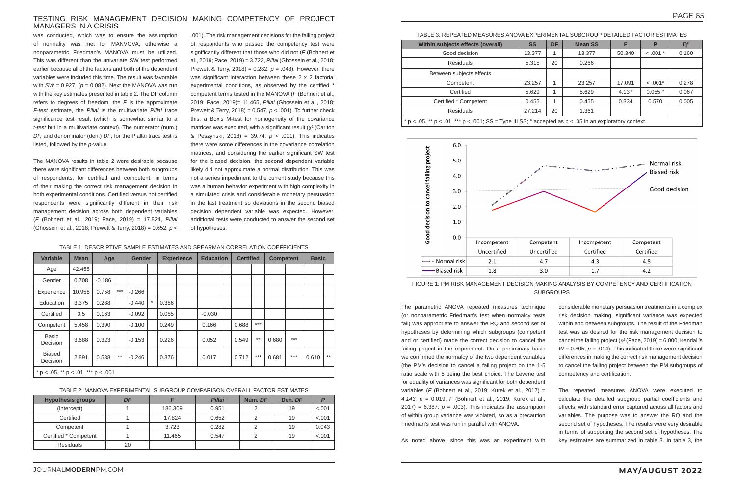## TESTING RISK MANAGEMENT DECISION MAKING COMPETENCY OF PROJECT MANAGERS IN A CRISIS

was conducted, which was to ensure the assumption of normality was met for MANVOVA, otherwise a nonparametric Friedman's MANOVA must be utilized. This was different than the univariate SW test performed earlier because all of the factors and both of the dependent variables were included this time. The result was favorable with  $SW = 0.927$ ,  $(p = 0.082)$ . Next the MANOVA was run with the key estimates presented in table 2. The DF column refers to degrees of freedom, the *F* is the approximate *F-test* estimate, the *Pillai* is the multivariate *Pillai* trace significance test result (which is somewhat similar to a *t-test* but in a multivariate context). The numerator (num.) *DF,* and denominator (den.) *DF*, for the Piallai trace test is listed, followed by the *p*-value.

The MANOVA results in table 2 were desirable because there were significant differences between both subgroups of respondents, for certified and competent, in terms of their making the correct risk management decision in both experimental conditions. Certified versus not certified respondents were significantly different in their risk management decision across both dependent variables (*F* (Bohnert et al., 2019; Pace, 2019) = 17.824, *Pillai* (Ghossein et al., 2018; Prewett & Terry, 2018) = 0.652, *p* <

.001). The risk management decisions for the failing project of respondents who passed the competency test were significantly different that those who did not (*F* (Bohnert et al., 2019; Pace, 2019) = 3.723, *Pillai* (Ghossein et al., 2018; Prewett & Terry, 2018) = 0.282, *p* = .043). However, there was significant interaction between these 2 x 2 factorial experimental conditions, as observed by the certified \* competent terms tested in the MANOVA (*F* (Bohnert et al., 2019; Pace, 2019)= 11.465, *Pillai* (Ghossein et al., 2018; Prewett & Terry, 2018) = 0.547, *p* < .001). To further check this, a Box's M-test for homogeneity of the covariance matrices was executed, with a significant result  $(x^2)$  (Carlton & Peszynski, 2018) = 39.74, *p* < .001). This indicates there were some differences in the covariance correlation matrices, and considering the earlier significant SW test for the biased decision, the second dependent variable likely did not approximate a normal distribution. This was not a series impediment to the current study because this was a human behavior experiment with high complexity in a simulated crisis and considerable monetary persuasion in the last treatment so deviations in the second biased decision dependent variable was expected. However, additional tests were conducted to answer the second set of hypotheses.

> FIGURE 1: PM RISK MANAGEMENT DECISION MAKING ANALYSIS BY COMPETENCY AND CERTIFICATION **SUBGROUPS**

The parametric ANOVA repeated measures technique (or nonparametric Friedman's test when normalcy tests fail) was appropriate to answer the RQ and second set of hypotheses by determining which subgroups (competent and or certified) made the correct decision to cancel the failing project in the experiment. On a preliminary basis we confirmed the normalcy of the two dependent variables (the PM's decision to cancel a failing project on the 1-5 ratio scale with 5 being the best choice. The Levene test for equality of variances was significant for both dependent variables (*F* (Bohnert et al., 2019; Kurek et al., 2017) = *4.143, p =* 0.019, *F* (Bohnert et al., 2019; Kurek et al., 2017) = 6.387,  $p = .003$ ). This indicates the assumption of within group variance was violated, so as a precaution Friedman's test was run in parallel with ANOVA.

As noted above, since this was an experiment with

- considerable monetary persuasion treatments in a complex risk decision making, significant variance was expected within and between subgroups. The result of the Friedman test was as desired for the risk management decision to cancel the failing project (*x²* (Pace, 2019) = 6.000, Kendall's  $W = 0.805$ ,  $p = .014$ ). This indicated there were significant differences in making the correct risk management decision to cancel the failing project between the PM subgroups of competency and certification.
- The repeated measures ANOVA were executed to calculate the detailed subgroup partial coefficients and effects, with standard error captured across all factors and variables. The purpose was to answer the RQ and the second set of hypotheses. The results were very desirable in terms of supporting the second set of hypotheses. The key estimates are summarized in table 3. In table 3, the

#### TABLE 1: DESCRIPTIVE SAMPLE ESTIMATES AND SPEARMAN CORRELATION COEFFICIENTS

| <b>Variable</b>                             | <b>Mean</b> | Age      |       | <b>Gender</b> |          | <b>Experience</b> |  | <b>Education</b> |  | <b>Certified</b> |       | <b>Competent</b> |       | <b>Basic</b> |      |
|---------------------------------------------|-------------|----------|-------|---------------|----------|-------------------|--|------------------|--|------------------|-------|------------------|-------|--------------|------|
| Age                                         | 42.458      |          |       |               |          |                   |  |                  |  |                  |       |                  |       |              |      |
| Gender                                      | 0.708       | $-0.186$ |       |               |          |                   |  |                  |  |                  |       |                  |       |              |      |
| Experience                                  | 10.958      | 0.758    | $***$ | $-0.266$      |          |                   |  |                  |  |                  |       |                  |       |              |      |
| Education                                   | 3.375       | 0.288    |       | $-0.440$      | $^\star$ | 0.386             |  |                  |  |                  |       |                  |       |              |      |
| Certified                                   | 0.5         | 0.163    |       | $-0.092$      |          | 0.085             |  | $-0.030$         |  |                  |       |                  |       |              |      |
| Competent                                   | 5.458       | 0.390    |       | $-0.100$      |          | 0.249             |  | 0.166            |  | 0.688            | $***$ |                  |       |              |      |
| <b>Basic</b><br>Decision                    | 3.688       | 0.323    |       | $-0.153$      |          | 0.226             |  | 0.052            |  | 0.549            | $**$  | 0.680            | $***$ |              |      |
| <b>Biased</b><br>Decision                   | 2.891       | 0.538    | $**$  | $-0.246$      |          | 0.376             |  | 0.017            |  | 0.712            | $***$ | 0.681            | $***$ | 0.610        | $**$ |
| * $p < .05$ , ** $p < .01$ , *** $p < .001$ |             |          |       |               |          |                   |  |                  |  |                  |       |                  |       |              |      |

TABLE 2: MANOVA EXPERIMENTAL SUBGROUP COMPARISON OVERALL FACTOR ESTIMATES

| <b>Hypothesis groups</b> | DF |         | <b>Pillai</b> | Num. DF | Den. DF | D      |
|--------------------------|----|---------|---------------|---------|---------|--------|
| (Intercept)              |    | 186,309 | 0.951         |         | 19      | < .001 |
| Certified                |    | 17.824  | 0.652         |         | 19      | < .001 |
| Competent                |    | 3.723   | 0.282         |         | 19      | 0.043  |
| Certified * Competent    |    | 11.465  | 0.547         |         | 19      | < .001 |
| <b>Residuals</b>         | 20 |         |               |         |         |        |

| TABLE 3: REPEATED MEASURES ANOVA EXPERIMENTAL SUBGROUP DETAILED FACTOR ESTIMATES                                |           |              |                |        |            |                |  |  |
|-----------------------------------------------------------------------------------------------------------------|-----------|--------------|----------------|--------|------------|----------------|--|--|
| Within subjects effects (overall)                                                                               | <b>SS</b> | <b>DF</b>    | <b>Mean SS</b> | Е      | P          | $\mathsf{n}^2$ |  |  |
| Good decision                                                                                                   | 13.377    | 1            | 13.377         | 50.340 | $< .001 *$ | 0.160          |  |  |
| Residuals                                                                                                       | 5.315     | 20           | 0.266          |        |            |                |  |  |
| Between subjects effects                                                                                        |           |              |                |        |            |                |  |  |
| Competent                                                                                                       | 23.257    | 1            | 23.257         | 17.091 | $< 0.001*$ | 0.278          |  |  |
| Certified                                                                                                       | 5.629     | $\mathbf{1}$ | 5.629          | 4.137  | $0.055$ °  | 0.067          |  |  |
| Certified * Competent                                                                                           | 0.455     |              | 0.455          | 0.334  | 0.570      | 0.005          |  |  |
| Residuals                                                                                                       | 27.214    | 20           | 1.361          |        |            |                |  |  |
| * p < .05, ** p < .01, *** p < .001; SS = Type III SS; $\degree$ accepted as p < .05 in an exploratory context. |           |              |                |        |            |                |  |  |

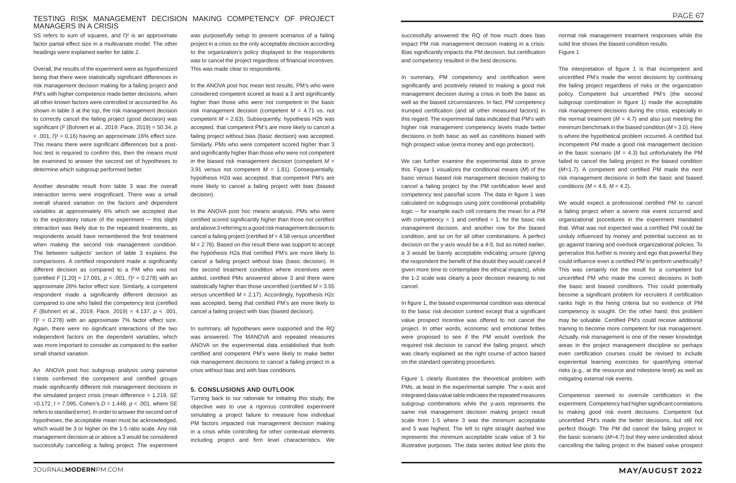# TESTING RISK MANAGEMENT DECISION MAKING COMPETENCY OF PROJECT MANAGERS IN A CRISIS

SS refers to sum of squares, and  $\Gamma$ <sup>2</sup> is an approximate factor partial effect size in a multivariate model. The other headings were explained earlier for table 2.

Overall, the results of the experiment were as hypothesized being that there were statistically significant differences in risk management decision making for a failing project and PM's with higher competence made better decisions, when all other known factors were controlled or accounted for. As shown in table 3 at the top, the risk management decision to correctly cancel the failing project (good decision) was significant (*F* (Bohnert et al., 2019; Pace, 2019) = 50.34, *p*  $\leq$  .001,  $\Gamma$ <sup>2</sup> = 0.16) having an approximate 16% effect size. This means there were significant differences but a posthoc test is required to confirm this, then the means must be examined to answer the second set of hypotheses to determine which subgroup performed better.

Another desirable result from table 3 was the overall interaction terms were insignificant. There was a small overall shared variation on the factors and dependent variables at approximately 6% which we accepted due to the exploratory nature of the experiment  $-$  this slight interaction was likely due to the repeated treatments, as respondents would have remembered the first treatment when making the second risk management condition. The between subjects' section of table 3 explains the comparisons. A certified respondent made a significantly different decision as compared to a PM who was not (certified *F* [1,20] = 17.091,  $p < .001$ ,  $\Gamma$ <sup>2</sup> = 0.278) with an approximate 28% factor effect size. Similarly, a competent respondent made a significantly different decision as compared to one who failed the competency test (certified *F* (Bohnert et al., 2019; Pace, 2019) = 4.137, *p* < .001,  $\Gamma$ <sup>2</sup> = 0.278) with an approximate 7% factor effect size. Again, there were no significant interactions of the two independent factors on the dependent variables, which was more important to consider as compared to the earlier small shared variation.

An ANOVA post hoc subgroup analysis using pairwise t-tests confirmed the competent and certified groups made significantly different risk management decisions in the simulated project crisis (mean difference = 1.219, *SE* =0.172, *t* = 7.095, Cohen's *D* = 1.448, *p* < .001, where SE refers to standard error). In order to answer the second set of hypotheses, the acceptable mean must be acknowledged, which would be 3 or higher on the 1-5 ratio scale. Any risk management decision at or above a 3 would be considered successfully cancelling a failing project. The experiment

successfully answered the RO of how much does bias impact PM risk management decision making in a crisis: Bias significantly impacts the PM decision, but certification and competency resulted in the best decisions.

was purposefully setup to present scenarios of a failing project in a crisis so the only acceptable decision according to the organization's policy displayed to the respondents was to cancel the project regardless of financial incentives. This was made clear to respondents.

In the ANOVA post hoc mean test results, PM's who were considered competent scored at least a 3 and significantly higher than those who were not competent in the basic risk management decision (competent *M* = 4.71 vs. not competent  $M = 2.63$ ). Subsequently, hypothesis H2b was accepted, that competent PM's are more likely to cancel a failing project without bias (basic decision) was accepted. Similarly, PMs who were competent scored higher than 3 and significantly higher than those who were not competent in the biased risk management decision (competent *M* = 3.91 versus not competent  $M = 1.81$ ). Consequentially, hypothesis H2d was accepted, that competent PM's are more likely to cancel a failing project with bias (biased decision).

In the ANOVA post hoc means analysis, PMs who were certified scored significantly higher than those not certified and above 3 referring to a good risk management decision to cancel a failing project (certified *M* = 4.58 versus uncertified *M* = 2.76). Based on this result there was support to accept the hypothesis H2a that certified PM's are more likely to cancel a failing project without bias (basic decision). In the second treatment condition where incentives were added, certified PMs answered above 3 and there were statistically higher than those uncertified (certified *M* = 3.55 versus uncertified *M* = 2.17). Accordingly, hypothesis H2c was accepted, being that certified PM's are more likely to cancel a failing project with bias (biased decision).

In summary, all hypotheses were supported and the RQ was answered. The MANOVA and repeated measures ANOVA on the experimental data established that both certified and competent PM's were likely to make better risk management decisions to cancel a failing project in a crisis without bias and with bias conditions.

#### **5. CONSLUSIONS AND OUTLOOK**

Turning back to our rationale for initiating this study, the objective was to use a rigorous controlled experiment simulating a project failure to measure how individual PM factors impacted risk management decision making in a crisis while controlling for other contextual elements including project and firm level characteristics. We

In summary, PM competency and certification were significantly and positively related to making a good risk management decision during a crisis in both the basic as well as the biased circumstances. In fact, PM competency trumped certification (and all other measured factors) in this regard. The experimental data indicated that PM's with higher risk management competency levels made better decisions in both basic as well as conditions biased with high prospect value (extra money and ego protection).

We can further examine the experimental data to prove this. Figure 1 visualizes the conditional means (*M*) of the basic versus biased risk management decision making to cancel a failing project by the PM certification level and competency test pass/fail score. The data in figure 1 was calculated on subgroups using joint conditional probability logic ─ for example each cell contains the mean for a PM with competency = 1 and certified = 1, for the basic risk management decision, and another row for the biased condition, and so on for all other combinations. A perfect decision on the y-axis would be a 4-5, but as noted earlier, a 3 would be barely acceptable indicating unsure (giving the respondent the benefit of the doubt they would cancel if given more time to contemplate the ethical impacts), while the 1-2 scale was clearly a poor decision meaning to not cancel.

In figure 1, the biased experimental condition was identical to the basic risk decision context except that a significant value prospect incentive was offered to not cancel the project. In other words, economic and emotional bribes were proposed to see if the PM would overlook the required risk decision to cancel the failing project, which was clearly explained as the right course of action based on the standard operating procedures.

Figure 1 clearly illustrates the theoretical problem with PMs, at least in the experimental sample. The x-axis and integrated data value table indicates the repeated measures subgroup combinations while the y-axis represents the same risk management decision making project result scale from 1-5 where 3 was the minimum acceptable and 5 was highest. The left to right straight dashed line represents the minimum acceptable scale value of 3 for illustrative purposes. The data series dotted line plots the

normal risk management treatment responses while the solid line shows the biased condition results. Figure 1

The interpretation of figure 1 is that incompetent and uncertified PM's made the worst decisions by continuing the failing project regardless of risks or the organization policy. Competent but uncertified PM's (the second subgroup combination in figure 1) made the acceptable risk management decisions during the crisis, especially in the normal treatment ( $M = 4.7$ ) and also just meeting the minimum benchmark in the biased condition (*M* = 3.0). Here is where the hypothetical problem occurred. A certified but incompetent PM made a good risk management decision in the basic scenario ( $M = 4.3$ ) but unfortunately the PM failed to cancel the failing project in the biased condition (*M*=1.7). A competent and certified PM made the nest risk management decisions in both the basic and biased conditions ( $M = 4.8$ ,  $M = 4.2$ ).

We would expect a professional certified PM to cancel a failing project when a severe risk event occurred and organizational procedures in the experiment mandated that. What was not expected was a certified PM could be unduly influenced by money and potential success as to go against training and overlook organizational policies. To generalize this further is money and ego that powerful they could influence even a certified PM to perform unethically? This was certainly not the result for a competent but uncertified PM who made the correct decisions in both the basic and biased conditions. This could potentially become a significant problem for recruiters if certification ranks high in the hiring criteria but no evidence of PM competency is sought. On the other hand, this problem may be solvable. Certified PM's could receive additional training to become more competent for risk management. Actually, risk management is one of the newer knowledge areas in the project management discipline so perhaps even certification courses could be revised to include experiential learning exercises for quantifying internal risks (e.g., at the resource and milestone level) as well as mitigating external risk events.

Competence seemed to overrule certification in the experiment. Competency had higher significant correlations to making good risk event decisions. Competent but uncertified PM's made the better decisions, but still not perfect though. The PM did cancel the failing project in the basic scenario (*M*=4.7) but they were undecided about cancelling the failing project in the biased value prospect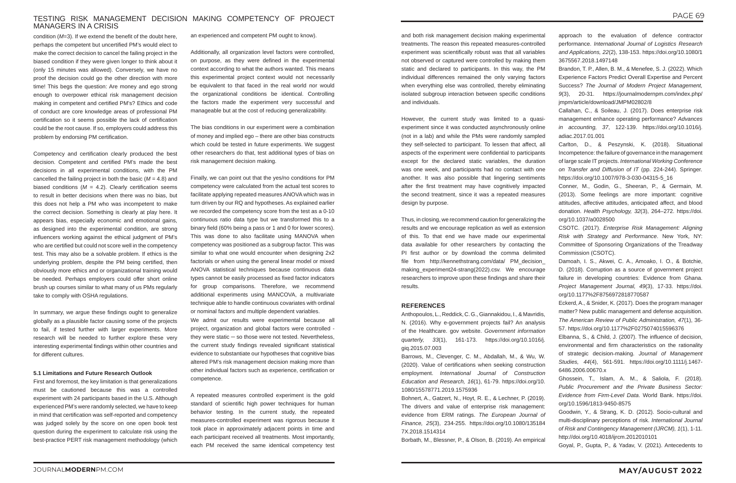# TESTING RISK MANAGEMENT DECISION MAKING COMPETENCY OF PROJECT MANAGERS IN A CRISIS

and both risk management decision making experimental treatments. The reason this repeated measures-controlled experiment was scientifically robust was that all variables not observed or captured were controlled by making them static and declared to participants. In this way, the PM individual differences remained the only varying factors when everything else was controlled, thereby eliminating isolated subgroup interaction between specific conditions and individuals.

However, the current study was limited to a quasiexperiment since it was conducted asynchronously online (not in a lab) and while the PMs were randomly sampled they self-selected to participant. To lessen that affect, all aspects of the experiment were confidential to participants except for the declared static variables, the duration was one week, and participants had no contact with one another. It was also possible that lingering sentiments after the first treatment may have cognitively impacted the second treatment, since it was a repeated measures design by purpose.

Thus, in closing, we recommend caution for generalizing the results and we encourage replication as well as extension of this. To that end we have made our experimental data available for other researchers by contacting the PI first author or by download the comma delimited file from http://kennethstrang.com/data/ PM\_decision\_ making\_experiment24-strang(2022).csv. We encourage researchers to improve upon these findings and share their results.

#### **REFERENCES**

Anthopoulos, L., Reddick, C. G., Giannakidou, I., & Mavridis, N. (2016). Why e-government projects fail? An analysis of the Healthcare. gov website. *Government information quarterly, 33*(1), 161-173. https://doi.org/10.1016/j. giq.2015.07.003

Barrows, M., Clevenger, C. M., Abdallah, M., & Wu, W. (2020). Value of certifications when seeking construction employment. *International Journal of Construction Education and Research, 16*(1), 61-79. https://doi.org/10. 1080/15578771.2019.1575936

Bohnert, A., Gatzert, N., Hoyt, R. E., & Lechner, P. (2019). The drivers and value of enterprise risk management: evidence from ERM ratings. *The European Journal of Finance, 25*(3), 234-255. https://doi.org/10.1080/135184 7X.2018.1514314

Borbath, M., Blessner, P., & Olson, B. (2019). An empirical

- approach to the evaluation of defence contractor performance. *International Journal of Logistics Research and Applications, 22*(2), 138-153. https://doi.org/10.1080/1 3675567.2018.1497148
- Brandon, T. P., Allen, B. M., & Menefee, S. J. (2022). Which Experience Factors Predict Overall Expertise and Percent Success? *The Journal of Modern Project Management, 9*(3), 20-31. https://journalmodernpm.com/index.php/ jmpm/article/download/JMPM02802/8
- Callahan, C., & Soileau, J. (2017). Does enterprise risk management enhance operating performance? *Advances in accounting, 37*, 122-139. https://doi.org/10.1016/j. adiac.2017.01.001
- Carlton, D., & Peszynski, K. (2018). Situational Incompetence: the failure of governance in the management of large scale IT projects. *International Working Conference on Transfer and Diffusion of IT* (pp. 224-244). Springer*.* https://doi.org/10.1007/978-3-030-04315-5\_16
- Conner, M., Godin, G., Sheeran, P., & Germain, M. (2013). Some feelings are more important: cognitive attitudes, affective attitudes, anticipated affect, and blood donation. *Health Psychology, 32*(3), 264–272. https://doi. org/10.1037/a0028500
- CSOTC. (2017). *Enterprise Risk Management: Aligning Risk with Strategy and Performance*. New York, NY: Committee of Sponsoring Organizations of the Treadway Commission (CSOTC).
- Damoah, I. S., Akwei, C. A., Amoako, I. O., & Botchie, D. (2018). Corruption as a source of government project failure in developing countries: Evidence from Ghana. *Project Management Journal, 49*(3), 17-33. https://doi. org/10.1177%2F8756972818770587
- Eckerd, A., & Snider, K. (2017). Does the program manager matter? New public management and defense acquisition. *The American Review of Public Administration, 47*(1), 36- 57. https://doi.org/10.1177%2F0275074015596376
- Elbanna, S., & Child, J. (2007). The influence of decision, environmental and firm characteristics on the rationality of strategic decision‐making. *Journal of Management Studies, 44*(4), 561-591. https://doi.org/10.1111/j.1467- 6486.2006.00670.x
- Ghossein, T., Islam, A. M., & Saliola, F. (2018). *Public Procurement and the Private Business Sector: Evidence from Firm-Level Data*. World Bank. https://doi. org/10.1596/1813-9450-8575
- Goodwin, Y., & Strang, K. D. (2012). Socio-cultural and multi-disciplinary perceptions of risk. *International Journal of Risk and Contingency Management (IJRCM), 1*(1), 1-11. http://doi.org/10.4018/ijrcm.2012010101
- Goyal, P., Gupta, P., & Yadav, V. (2021). Antecedents to

condition (*M*=3). If we extend the benefit of the doubt here, perhaps the competent but uncertified PM's would elect to make the correct decision to cancel the failing project in the biased condition if they were given longer to think about it (only 15 minutes was allowed). Conversely, we have no proof the decision could go the other direction with more time! This begs the question: Are money and ego strong enough to overpower ethical risk management decision making in competent and certified PM's? Ethics and code of conduct are core knowledge areas of professional PM certification so it seems possible the lack of certification could be the root cause. If so, employers could address this problem by endorsing PM certification.

Competency and certification clearly produced the best decision. Competent and certified PM's made the best decisions in all experimental conditions, with the PM cancelled the failing project in both the basic (*M* = 4.8) and biased conditions (*M* = 4.2). Clearly certification seems to result in better decisions when there was no bias, but this does not help a PM who was incompetent to make the correct decision. Something is clearly at play here. It appears bias, especially economic and emotional gains, as designed into the experimental condition, are strong influencers working against the ethical judgment of PM's who are certified but could not score well in the competency test. This may also be a solvable problem. If ethics is the underlying problem, despite the PM being certified, then obviously more ethics and or organizational training would be needed. Perhaps employers could offer short online brush up courses similar to what many of us PMs regularly take to comply with OSHA regulations.

In summary, we argue these findings ought to generalize globally as a plausible factor causing some of the projects to fail, if tested further with larger experiments. More research will be needed to further explore these very interesting experimental findings within other countries and for different cultures.

#### **5.1 Limitations and Future Research Outlook**

First and foremost, the key limitation is that generalizations must be cautioned because this was a controlled experiment with 24 participants based in the U.S. Although experienced PM's were randomly selected, we have to keep in mind that certification was self-reported and competency was judged solely by the score on one open book test question during the experiment to calculate risk using the best-practice PERT risk management methodology (which an experienced and competent PM ought to know).

Additionally, all organization level factors were controlled, on purpose, as they were defined in the experimental context according to what the authors wanted. This means this experimental project context would not necessarily be equivalent to that faced in the real world nor would the organizational conditions be identical. Controlling the factors made the experiment very successful and manageable but at the cost of reducing generalizability.

The bias conditions in our experiment were a combination of money and implied ego – there are other bias constructs which could be tested in future experiments. We suggest other researchers do that, test additional types of bias on risk management decision making.

Finally, we can point out that the yes/no conditions for PM competency were calculated from the actual test scores to facilitate applying repeated measures ANOVA which was in turn driven by our RQ and hypotheses. As explained earlier we recorded the competency score from the test as a 0-10 continuous ratio data type but we transformed this to a binary field (60% being a pass or 1 and 0 for lower scores). This was done to also facilitate using MANOVA when competency was positioned as a subgroup factor. This was similar to what one would encounter when designing 2x2 factorials or when using the general linear model or mixed ANOVA statistical techniques because continuous data types cannot be easily processed as fixed factor indicators for group comparisons. Therefore, we recommend additional experiments using MANCOVA, a multivariate technique able to handle continuous covariates with ordinal or nominal factors and multiple dependent variables.

We admit our results were experimental because all project, organization and global factors were controlled they were static  $-$  so those were not tested. Nevertheless, the current study findings revealed significant statistical evidence to substantiate our hypotheses that cognitive bias altered PM's risk management decision making more than other individual factors such as experience, certification or competence.

A repeated measures controlled experiment is the gold standard of scientific high power techniques for human behavior testing. In the current study, the repeated measures-controlled experiment was rigorous because it took place in approximately adjacent points in time and each participant received all treatments. Most importantly, each PM received the same identical competency test